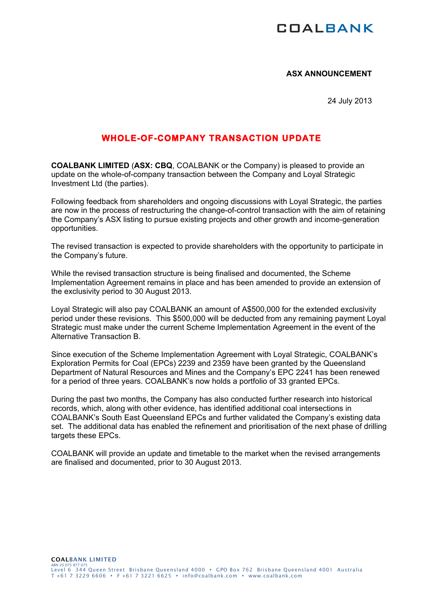## **COALBANK**

## **ASX ANNOUNCEMENT**

24 July 2013

## **WHOLE-OF-COMPANY TRANSACTION UPDATE**

**COALBANK LIMITED** (**ASX: CBQ**, COALBANK or the Company) is pleased to provide an update on the whole-of-company transaction between the Company and Loyal Strategic Investment Ltd (the parties).

Following feedback from shareholders and ongoing discussions with Loyal Strategic, the parties are now in the process of restructuring the change-of-control transaction with the aim of retaining the Company's ASX listing to pursue existing projects and other growth and income-generation opportunities.

The revised transaction is expected to provide shareholders with the opportunity to participate in the Company's future.

While the revised transaction structure is being finalised and documented, the Scheme Implementation Agreement remains in place and has been amended to provide an extension of the exclusivity period to 30 August 2013.

Loyal Strategic will also pay COALBANK an amount of A\$500,000 for the extended exclusivity period under these revisions. This \$500,000 will be deducted from any remaining payment Loyal Strategic must make under the current Scheme Implementation Agreement in the event of the Alternative Transaction B.

Since execution of the Scheme Implementation Agreement with Loyal Strategic, COALBANK's Exploration Permits for Coal (EPCs) 2239 and 2359 have been granted by the Queensland Department of Natural Resources and Mines and the Company's EPC 2241 has been renewed for a period of three years. COALBANK's now holds a portfolio of 33 granted EPCs.

During the past two months, the Company has also conducted further research into historical records, which, along with other evidence, has identified additional coal intersections in COALBANK's South East Queensland EPCs and further validated the Company's existing data set. The additional data has enabled the refinement and prioritisation of the next phase of drilling targets these EPCs.

COALBANK will provide an update and timetable to the market when the revised arrangements are finalised and documented, prior to 30 August 2013.